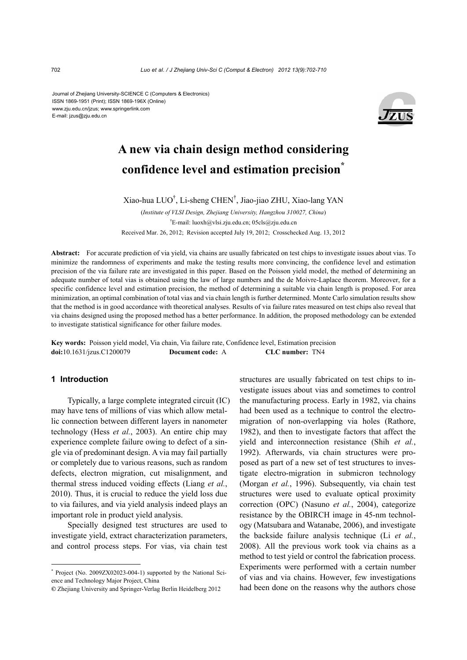Journal of Zhejiang University-SCIENCE C (Computers & Electronics) ISSN 1869-1951 (Print); ISSN 1869-196X (Online) www.zju.edu.cn/jzus; www.springerlink.com E-mail: jzus@zju.edu.cn



# **A new via chain design method considering confidence level and estimation precision\***

Xiao-hua LUO† , Li-sheng CHEN† , Jiao-jiao ZHU, Xiao-lang YAN

(*Institute of VLSI Design, Zhejiang University, Hangzhou 310027, China*) † E-mail: luoxh@vlsi.zju.edu.cn; 05cls@zju.edu.cn Received Mar. 26, 2012; Revision accepted July 19, 2012; Crosschecked Aug. 13, 2012

**Abstract:** For accurate prediction of via yield, via chains are usually fabricated on test chips to investigate issues about vias. To minimize the randomness of experiments and make the testing results more convincing, the confidence level and estimation precision of the via failure rate are investigated in this paper. Based on the Poisson yield model, the method of determining an adequate number of total vias is obtained using the law of large numbers and the de Moivre-Laplace theorem. Moreover, for a specific confidence level and estimation precision, the method of determining a suitable via chain length is proposed. For area minimization, an optimal combination of total vias and via chain length is further determined. Monte Carlo simulation results show that the method is in good accordance with theoretical analyses. Results of via failure rates measured on test chips also reveal that via chains designed using the proposed method has a better performance. In addition, the proposed methodology can be extended to investigate statistical significance for other failure modes.

**Key words:** Poisson yield model, Via chain, Via failure rate, Confidence level, Estimation precision **doi:**10.1631/jzus.C1200079 **Document code:** A **CLC number:** TN4

# **1 Introduction**

Typically, a large complete integrated circuit (IC) may have tens of millions of vias which allow metallic connection between different layers in nanometer technology (Hess *et al.*, 2003). An entire chip may experience complete failure owing to defect of a single via of predominant design. A via may fail partially or completely due to various reasons, such as random defects, electron migration, cut misalignment, and thermal stress induced voiding effects (Liang *et al.*, 2010). Thus, it is crucial to reduce the yield loss due to via failures, and via yield analysis indeed plays an important role in product yield analysis.

Specially designed test structures are used to investigate yield, extract characterization parameters, and control process steps. For vias, via chain test

structures are usually fabricated on test chips to investigate issues about vias and sometimes to control the manufacturing process. Early in 1982, via chains had been used as a technique to control the electromigration of non-overlapping via holes (Rathore, 1982), and then to investigate factors that affect the yield and interconnection resistance (Shih *et al.*, 1992). Afterwards, via chain structures were proposed as part of a new set of test structures to investigate electro-migration in submicron technology (Morgan *et al.*, 1996). Subsequently, via chain test structures were used to evaluate optical proximity correction (OPC) (Nasuno *et al.*, 2004), categorize resistance by the OBIRCH image in 45-nm technology (Matsubara and Watanabe, 2006), and investigate the backside failure analysis technique (Li *et al.*, 2008). All the previous work took via chains as a method to test yield or control the fabrication process. Experiments were performed with a certain number of vias and via chains. However, few investigations had been done on the reasons why the authors chose

<sup>\*</sup> Project (No. 2009ZX02023-004-1) supported by the National Science and Technology Major Project, China

**<sup>©</sup>** Zhejiang University and Springer-Verlag Berlin Heidelberg 2012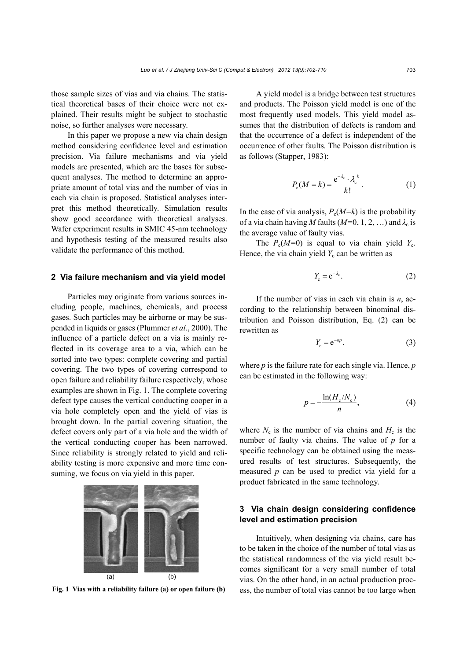those sample sizes of vias and via chains. The statistical theoretical bases of their choice were not explained. Their results might be subject to stochastic noise, so further analyses were necessary.

In this paper we propose a new via chain design method considering confidence level and estimation precision. Via failure mechanisms and via yield models are presented, which are the bases for subsequent analyses. The method to determine an appropriate amount of total vias and the number of vias in each via chain is proposed. Statistical analyses interpret this method theoretically. Simulation results show good accordance with theoretical analyses. Wafer experiment results in SMIC 45-nm technology and hypothesis testing of the measured results also validate the performance of this method.

#### **2 Via failure mechanism and via yield model**

Particles may originate from various sources including people, machines, chemicals, and process gases. Such particles may be airborne or may be suspended in liquids or gases (Plummer *et al.*, 2000). The influence of a particle defect on a via is mainly reflected in its coverage area to a via, which can be sorted into two types: complete covering and partial covering. The two types of covering correspond to open failure and reliability failure respectively, whose examples are shown in Fig. 1. The complete covering defect type causes the vertical conducting cooper in a via hole completely open and the yield of vias is brought down. In the partial covering situation, the defect covers only part of a via hole and the width of the vertical conducting cooper has been narrowed. Since reliability is strongly related to yield and reliability testing is more expensive and more time consuming, we focus on via yield in this paper.



A yield model is a bridge between test structures and products. The Poisson yield model is one of the most frequently used models. This yield model assumes that the distribution of defects is random and that the occurrence of a defect is independent of the occurrence of other faults. The Poisson distribution is as follows (Stapper, 1983):

$$
P_{c}(M = k) = \frac{e^{-\lambda_{c}} \cdot \lambda_{c}^{k}}{k!}.
$$
 (1)

In the case of via analysis,  $P_c(M=k)$  is the probability of a via chain having *M* faults ( $M=0, 1, 2, ...$ ) and  $\lambda_c$  is the average value of faulty vias.

The  $P_c(M=0)$  is equal to via chain yield  $Y_c$ . Hence, the via chain yield  $Y_c$  can be written as

$$
Y_{\rm c} = e^{-\lambda_{\rm c}}.\tag{2}
$$

If the number of vias in each via chain is *n*, according to the relationship between binominal distribution and Poisson distribution, Eq. (2) can be rewritten as

$$
Y_{\rm c} = e^{-np},\tag{3}
$$

where  $p$  is the failure rate for each single via. Hence,  $p$ can be estimated in the following way:

$$
p = -\frac{\ln(H_c/N_c)}{n},\tag{4}
$$

where  $N_c$  is the number of via chains and  $H_c$  is the number of faulty via chains. The value of *p* for a specific technology can be obtained using the measured results of test structures. Subsequently, the measured *p* can be used to predict via yield for a product fabricated in the same technology.

# **3 Via chain design considering confidence level and estimation precision**

Intuitively, when designing via chains, care has to be taken in the choice of the number of total vias as the statistical randomness of the via yield result becomes significant for a very small number of total vias. On the other hand, in an actual production proc-**Fig. 1 Vias with a reliability failure (a) or open failure (b)** ess, the number of total vias cannot be too large when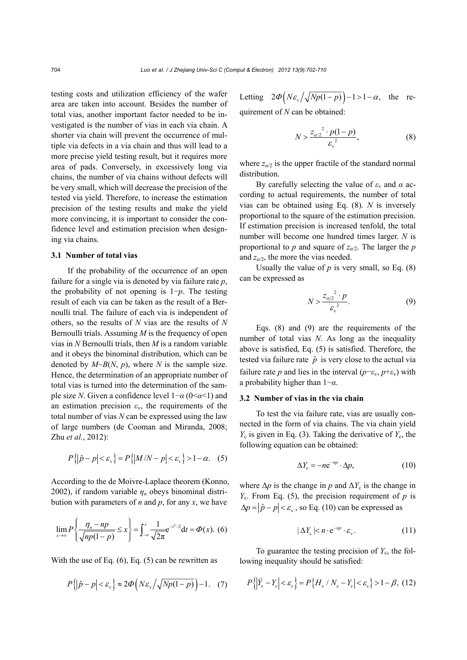testing costs and utilization efficiency of the wafer area are taken into account. Besides the number of total vias, another important factor needed to be investigated is the number of vias in each via chain. A shorter via chain will prevent the occurrence of multiple via defects in a via chain and thus will lead to a more precise yield testing result, but it requires more area of pads. Conversely, in excessively long via chains, the number of via chains without defects will be very small, which will decrease the precision of the tested via yield. Therefore, to increase the estimation precision of the testing results and make the yield more convincing, it is important to consider the confidence level and estimation precision when designing via chains.

#### **3.1 Number of total vias**

If the probability of the occurrence of an open failure for a single via is denoted by via failure rate *p*, the probability of not opening is 1−*p*. The testing result of each via can be taken as the result of a Bernoulli trial. The failure of each via is independent of others, so the results of *N* vias are the results of *N* Bernoulli trials. Assuming *M* is the frequency of open vias in *N* Bernoulli trials, then *M* is a random variable and it obeys the binominal distribution, which can be denoted by  $M \sim B(N, p)$ , where *N* is the sample size. Hence, the determination of an appropriate number of total vias is turned into the determination of the sample size *N*. Given a confidence level 1−*α* (0<*α*<1) and an estimation precision *ε*v, the requirements of the total number of vias *N* can be expressed using the law of large numbers (de Cooman and Miranda, 2008; Zhu *et al.*, 2012):

$$
P\{|\hat{p} - p| < \varepsilon_{\rm v}\} = P\{ |M/N - p| < \varepsilon_{\rm v} \} > 1 - \alpha. \tag{5}
$$

According to the de Moivre-Laplace theorem (Konno, 2002), if random variable *η<sup>n</sup>* obeys binominal distribution with parameters of *n* and  $p$ , for any  $x$ , we have

$$
\lim_{x\to\infty} P\left\{\frac{\eta_n - np}{\sqrt{np(1-p)}} \le x\right\} = \int_{-\infty}^x \frac{1}{\sqrt{2\pi}} e^{-t^2/2} dt = \Phi(x). (6)
$$

With the use of Eq.  $(6)$ , Eq.  $(5)$  can be rewritten as

$$
P\left\{ \left| \hat{p} - p \right| < \varepsilon_v \right\} \approx 2\Phi\left(N\varepsilon_v / \sqrt{Np(1-p)}\right) - 1. \quad (7)
$$

Letting  $2\Phi\left(N\varepsilon\sqrt{\sqrt{Np(1-p)}}\right)-1>1-\alpha$ , the requirement of *N* can be obtained:

$$
N > \frac{{z_{\alpha/2}}^2 \cdot p(1-p)}{{\varepsilon_v}^2},
$$
 (8)

where  $z_{\alpha/2}$  is the upper fractile of the standard normal distribution.

By carefully selecting the value of  $ε<sub>v</sub>$  and *α* according to actual requirements, the number of total vias can be obtained using Eq. (8). *N* is inversely proportional to the square of the estimation precision. If estimation precision is increased tenfold, the total number will become one hundred times larger. *N* is proportional to *p* and square of  $z_{\alpha/2}$ . The larger the *p* and  $z_{\alpha/2}$ , the more the vias needed.

Usually the value of  $p$  is very small, so Eq.  $(8)$ can be expressed as

$$
N > \frac{z_{\alpha/2}^2 \cdot p}{\varepsilon_v^2}.\tag{9}
$$

Eqs. (8) and (9) are the requirements of the number of total vias *N*. As long as the inequality above is satisfied, Eq. (5) is satisfied. Therefore, the tested via failure rate  $\hat{p}$  is very close to the actual via failure rate *p* and lies in the interval  $(p-\varepsilon_v, p+\varepsilon_v)$  with a probability higher than 1−*α*.

### **3.2 Number of vias in the via chain**

To test the via failure rate, vias are usually connected in the form of via chains. The via chain yield  $Y_c$  is given in Eq. (3). Taking the derivative of  $Y_c$ , the following equation can be obtained:

$$
\Delta Y_{\rm c} = -n e^{-np} \cdot \Delta p,\tag{10}
$$

where  $\Delta p$  is the change in *p* and  $\Delta Y_c$  is the change in  $Y_c$ . From Eq. (5), the precision requirement of *p* is  $\Delta p = |\hat{p} - p| < \varepsilon_v$ , so Eq. (10) can be expressed as

$$
|\Delta Y_{\rm c}| < n \cdot e^{-np} \cdot \varepsilon_{\rm v}.
$$
 (11)

To guarantee the testing precision of  $Y_c$ , the following inequality should be satisfied:

$$
P\left\{ \left|\hat{Y}_{\rm c} - Y_{\rm c}\right| < \varepsilon_{\rm c} \right\} = P\left\{ H_{\rm c} / N_{\rm c} - Y_{\rm c} \right| < \varepsilon_{\rm c} \right\} > 1 - \beta, \tag{12}
$$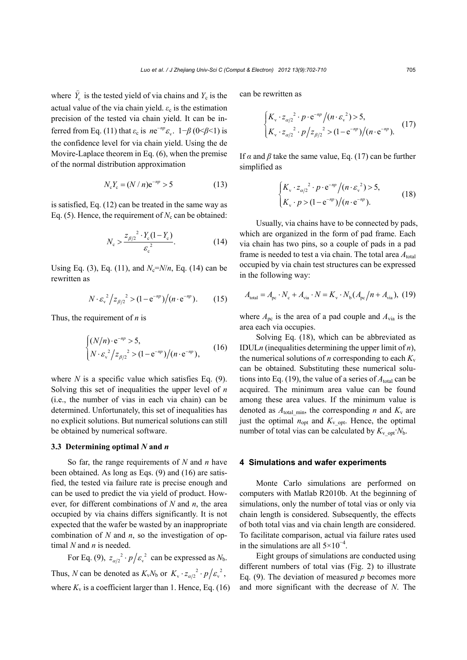where  $Y_c$  $\overline{a}$ is the tested yield of via chains and  $Y_c$  is the actual value of the via chain yield.  $\varepsilon_c$  is the estimation precision of the tested via chain yield. It can be inferred from Eq. (11) that  $\varepsilon_c$  is  $ne^{-np} \varepsilon_v$ .  $1-\beta$  (0 <  $\beta$  < 1) is the confidence level for via chain yield. Using the de Movire-Laplace theorem in Eq. (6), when the premise of the normal distribution approximation

$$
N_c Y_c = (N/n)e^{-np} > 5
$$
 (13)

is satisfied, Eq. (12) can be treated in the same way as Eq. (5). Hence, the requirement of  $N_c$  can be obtained:

$$
N_{\rm c} > \frac{z_{\beta/2}^2 \cdot Y_{\rm c} (1 - Y_{\rm c})}{\varepsilon_{\rm c}^2}.
$$
 (14)

Using Eq. (3), Eq. (11), and  $N_c = N/n$ , Eq. (14) can be rewritten as

$$
N \cdot {\varepsilon_v}^2 / z_{\beta/2}^2 > (1 - e^{-np}) / (n \cdot e^{-np}). \tag{15}
$$

Thus, the requirement of *n* is

$$
\begin{cases}\n(N/n) \cdot e^{-np} > 5, \\
N \cdot \varepsilon_v^2 / z_{\beta/2}^2 > (1 - e^{-np})/(n \cdot e^{-np}),\n\end{cases} \tag{16}
$$

where  $N$  is a specific value which satisfies Eq.  $(9)$ . Solving this set of inequalities the upper level of *n* (i.e., the number of vias in each via chain) can be determined. Unfortunately, this set of inequalities has no explicit solutions. But numerical solutions can still be obtained by numerical software.

#### **3.3 Determining optimal** *N* **and** *n*

So far, the range requirements of *N* and *n* have been obtained. As long as Eqs. (9) and (16) are satisfied, the tested via failure rate is precise enough and can be used to predict the via yield of product. However, for different combinations of *N* and *n*, the area occupied by via chains differs significantly. It is not expected that the wafer be wasted by an inappropriate combination of *N* and *n*, so the investigation of optimal *N* and *n* is needed.

For Eq. (9),  $z_{\alpha/2}^2 \cdot p/\varepsilon_v^2$  can be expressed as  $N_b$ . Thus, *N* can be denoted as  $K_vN_b$  or  $K_v \cdot z_{\alpha/2}^2 \cdot p/\varepsilon_v^2$ , where  $K_v$  is a coefficient larger than 1. Hence, Eq. (16) can be rewritten as

$$
\begin{cases} K_{\mathbf{v}} \cdot z_{\alpha/2}^2 \cdot p \cdot \mathbf{e}^{-np} / (n \cdot \varepsilon_{\mathbf{v}}^2) > 5, \\ K_{\mathbf{v}} \cdot z_{\alpha/2}^2 \cdot p / z_{\beta/2}^2 > (1 - \mathbf{e}^{-np}) / (n \cdot \mathbf{e}^{-np}). \end{cases} (17)
$$

If  $\alpha$  and  $\beta$  take the same value, Eq. (17) can be further simplified as

$$
\begin{cases} K_{\mathbf{v}} \cdot z_{\alpha/2}^2 \cdot p \cdot \mathbf{e}^{-np} / (n \cdot \varepsilon_{\mathbf{v}}^2) > 5, \\ K_{\mathbf{v}} \cdot p > (1 - \mathbf{e}^{-np}) / (n \cdot \mathbf{e}^{-np}). \end{cases} \tag{18}
$$

Usually, via chains have to be connected by pads, which are organized in the form of pad frame. Each via chain has two pins, so a couple of pads in a pad frame is needed to test a via chain. The total area  $A_{total}$ occupied by via chain test structures can be expressed in the following way:

$$
A_{\text{total}} = A_{\text{pc}} \cdot N_{\text{c}} + A_{\text{via}} \cdot N = K_{\text{v}} \cdot N_{\text{b}} (A_{\text{pc}} / n + A_{\text{via}}), (19)
$$

where  $A_{\text{pc}}$  is the area of a pad couple and  $A_{\text{via}}$  is the area each via occupies.

Solving Eq. (18), which can be abbreviated as IDUL*n* (inequalities determining the upper limit of *n*), the numerical solutions of *n* corresponding to each  $K_v$ can be obtained. Substituting these numerical solutions into Eq. (19), the value of a series of  $A_{total}$  can be acquired. The minimum area value can be found among these area values. If the minimum value is denoted as  $A_{\text{total min}}$ , the corresponding *n* and  $K_v$  are just the optimal  $n_{opt}$  and  $K_{v}$  <sub>opt</sub>. Hence, the optimal number of total vias can be calculated by  $K_{v\_opt}$ :  $N_b$ .

#### **4 Simulations and wafer experiments**

Monte Carlo simulations are performed on computers with Matlab R2010b. At the beginning of simulations, only the number of total vias or only via chain length is considered. Subsequently, the effects of both total vias and via chain length are considered. To facilitate comparison, actual via failure rates used in the simulations are all  $5\times10^{-4}$ .

Eight groups of simulations are conducted using different numbers of total vias (Fig. 2) to illustrate Eq. (9). The deviation of measured *p* becomes more and more significant with the decrease of *N*. The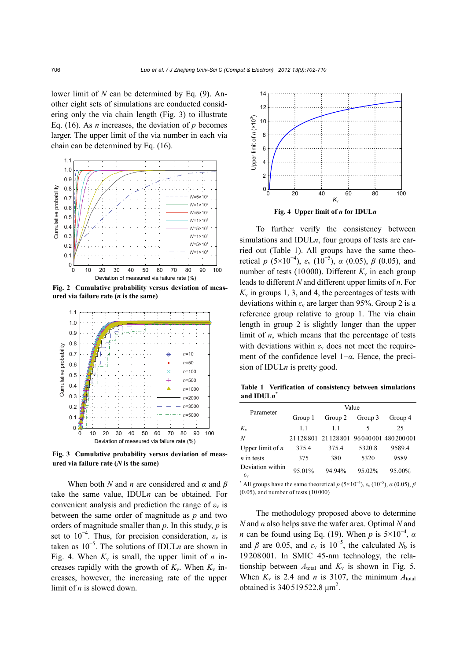lower limit of *N* can be determined by Eq. (9). Another eight sets of simulations are conducted considering only the via chain length (Fig. 3) to illustrate Eq. (16). As *n* increases, the deviation of *p* becomes larger. The upper limit of the via number in each via chain can be determined by Eq. (16).



**Fig. 2 Cumulative probability versus deviation of measured via failure rate (***n* **is the same)**



**Fig. 3 Cumulative probability versus deviation of measured via failure rate (***N* **is the same)**

When both *N* and *n* are considered and *α* and *β* take the same value, IDUL*n* can be obtained. For convenient analysis and prediction the range of *ε*v is between the same order of magnitude as *p* and two orders of magnitude smaller than *p*. In this study, *p* is set to 10<sup>-4</sup>. Thus, for precision consideration,  $\varepsilon$ <sub>v</sub> is taken as 10<sup>−</sup><sup>5</sup> . The solutions of IDUL*n* are shown in Fig. 4. When  $K_v$  is small, the upper limit of *n* increases rapidly with the growth of  $K_v$ . When  $K_v$  increases, however, the increasing rate of the upper limit of *n* is slowed down.



**Fig. 4 Upper limit of** *n* **for IDUL***n*

To further verify the consistency between simulations and IDUL*n*, four groups of tests are carried out (Table 1). All groups have the same theoretical *p* (5×10<sup>-4</sup>),  $\varepsilon$ <sub>v</sub> (10<sup>-5</sup>),  $\alpha$  (0.05),  $\beta$  (0.05), and number of tests (10000). Different  $K_v$  in each group leads to different *N* and different upper limits of *n*. For  $K_v$  in groups 1, 3, and 4, the percentages of tests with deviations within  $\varepsilon$ <sub>v</sub> are larger than 95%. Group 2 is a reference group relative to group 1. The via chain length in group 2 is slightly longer than the upper limit of *n*, which means that the percentage of tests with deviations within  $\varepsilon$ <sub>v</sub> does not meet the requirement of the confidence level 1−*α*. Hence, the precision of IDUL*n* is pretty good.

**Table 1 Verification of consistency between simulations and IDUL***n***\***

|                                           | Value   |         |         |                                              |
|-------------------------------------------|---------|---------|---------|----------------------------------------------|
| Parameter                                 | Group 1 | Group 2 | Group 3 | Group 4                                      |
| $K_{v}$                                   | 11      | 11      | 5       | 25                                           |
| $\boldsymbol{N}$                          |         |         |         | 21 128 801 21 128 801 96 040 001 480 200 001 |
| Upper limit of $n$                        | 375.4   | 375.4   | 5320.8  | 9589.4                                       |
| $n$ in tests                              | 375     | 380     | 5320    | 9589                                         |
| Deviation within<br>$\varepsilon_{\rm v}$ | 95.01%  | 94.94%  | 95.02%  | 95.00%                                       |

<sup>\*</sup> All groups have the same theoretical  $p(5\times10^{-4})$ ,  $\varepsilon$ <sup>*v*</sup> (10<sup>-5</sup>),  $\alpha$  (0.05),  $\beta$ (0.05), and number of tests (10 000)

The methodology proposed above to determine *N* and *n* also helps save the wafer area. Optimal *N* and *n* can be found using Eq. (19). When *p* is  $5 \times 10^{-4}$ , *α* and  $\beta$  are 0.05, and  $\varepsilon_v$  is 10<sup>-5</sup>, the calculated  $N_b$  is 19208001. In SMIC 45-nm technology, the relationship between  $A_{total}$  and  $K_v$  is shown in Fig. 5. When  $K_v$  is 2.4 and *n* is 3107, the minimum  $A_{\text{total}}$ obtained is  $340519522.8 \,\text{µm}^2$ .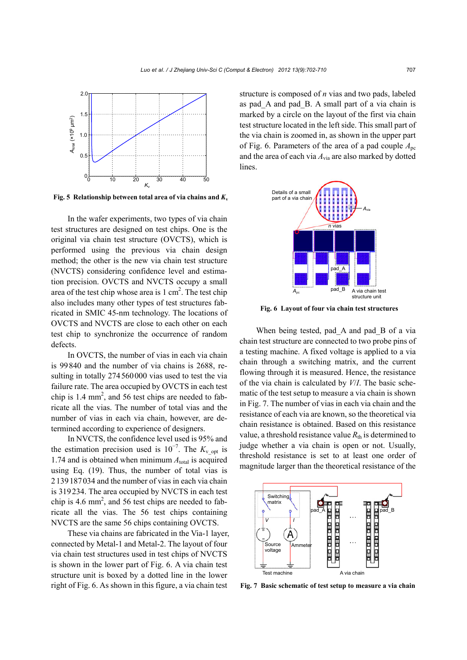

**Fig. 5 Relationship between total area of via chains and**  $K_v$ 

In the wafer experiments, two types of via chain test structures are designed on test chips. One is the original via chain test structure (OVCTS), which is performed using the previous via chain design method; the other is the new via chain test structure (NVCTS) considering confidence level and estimation precision. OVCTS and NVCTS occupy a small area of the test chip whose area is  $1 \text{ cm}^2$ . The test chip also includes many other types of test structures fabricated in SMIC 45-nm technology. The locations of OVCTS and NVCTS are close to each other on each test chip to synchronize the occurrence of random defects.

In OVCTS, the number of vias in each via chain is 99840 and the number of via chains is 2688, resulting in totally 274560000 vias used to test the via failure rate. The area occupied by OVCTS in each test chip is  $1.4 \text{ mm}^2$ , and  $56$  test chips are needed to fabricate all the vias. The number of total vias and the number of vias in each via chain, however, are determined according to experience of designers.

In NVCTS, the confidence level used is 95% and the estimation precision used is  $10^{-7}$ . The  $K_{v}$  opt is 1.74 and is obtained when minimum  $A<sub>total</sub>$  is acquired using Eq. (19). Thus, the number of total vias is 2139187034 and the number of vias in each via chain is 319234. The area occupied by NVCTS in each test chip is  $4.6 \text{ mm}^2$ , and  $56$  test chips are needed to fabricate all the vias. The 56 test chips containing NVCTS are the same 56 chips containing OVCTS.

These via chains are fabricated in the Via-1 layer, connected by Metal-1 and Metal-2. The layout of four via chain test structures used in test chips of NVCTS is shown in the lower part of Fig. 6. A via chain test structure unit is boxed by a dotted line in the lower right of Fig. 6. As shown in this figure, a via chain test

structure is composed of *n* vias and two pads, labeled as pad\_A and pad\_B. A small part of a via chain is marked by a circle on the layout of the first via chain test structure located in the left side. This small part of the via chain is zoomed in, as shown in the upper part of Fig. 6. Parameters of the area of a pad couple  $A_{nc}$ and the area of each via *A*via are also marked by dotted lines.



**Fig. 6 Layout of four via chain test structures**

When being tested, pad A and pad B of a via chain test structure are connected to two probe pins of a testing machine. A fixed voltage is applied to a via chain through a switching matrix, and the current flowing through it is measured. Hence, the resistance of the via chain is calculated by *V*/*I*. The basic schematic of the test setup to measure a via chain is shown in Fig. 7. The number of vias in each via chain and the resistance of each via are known, so the theoretical via chain resistance is obtained. Based on this resistance value, a threshold resistance value  $R<sub>th</sub>$  is determined to judge whether a via chain is open or not. Usually, threshold resistance is set to at least one order of magnitude larger than the theoretical resistance of the



**Fig. 7 Basic schematic of test setup to measure a via chain**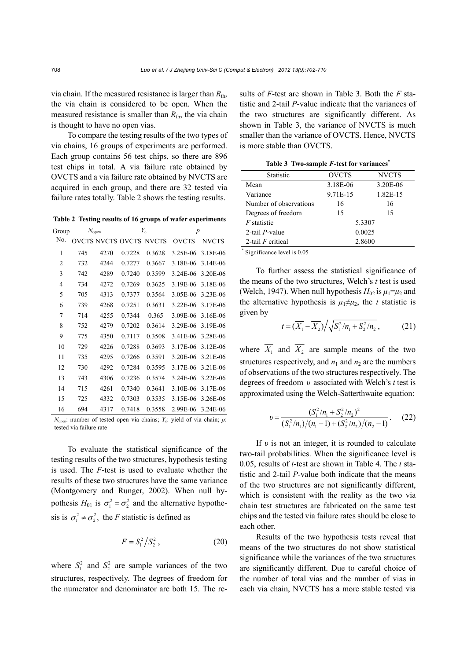via chain. If the measured resistance is larger than  $R_{th}$ , the via chain is considered to be open. When the measured resistance is smaller than  $R_{\text{th}}$ , the via chain is thought to have no open vias.

To compare the testing results of the two types of via chains, 16 groups of experiments are performed. Each group contains 56 test chips, so there are 896 test chips in total. A via failure rate obtained by OVCTS and a via failure rate obtained by NVCTS are acquired in each group, and there are 32 tested via failure rates totally. Table 2 shows the testing results.

**Table 2 Testing results of 16 groups of wafer experiments**

| Group          | $N_{\rm open}$ |      | $Y_c$                    |              | $\boldsymbol{p}$ |              |
|----------------|----------------|------|--------------------------|--------------|------------------|--------------|
| No.            |                |      | <b>OVCTS NVCTS OVCTS</b> | <b>NVCTS</b> | <b>OVCTS</b>     | <b>NVCTS</b> |
| 1              | 745            | 4270 | 0.7228                   | 0.3628       | 3.25E-06         | 3.18E-06     |
| 2              | 732            | 4244 | 0.7277                   | 0.3667       | 3.18E-06         | 3.14E-06     |
| 3              | 742            | 4289 | 0.7240                   | 0.3599       | 3.24E-06         | 3.20E-06     |
| $\overline{4}$ | 734            | 4272 | 0.7269                   | 0.3625       | 3.19E-06         | 3.18E-06     |
| 5              | 705            | 4313 | 0.7377                   | 0.3564       | 3.05E-06         | 3.23E-06     |
| 6              | 739            | 4268 | 0.7251                   | 0.3631       | 3.22E-06         | 3.17E-06     |
| 7              | 714            | 4255 | 0.7344                   | 0.365        | 3.09E-06         | 3.16E-06     |
| 8              | 752            | 4279 | 0.7202                   | 0.3614       | 3.29E-06         | 3.19E-06     |
| 9              | 775            | 4350 | 0.7117                   | 0.3508       | 3.41E-06         | 3.28E-06     |
| 10             | 729            | 4226 | 0.7288                   | 0.3693       | 3.17E-06         | 3.12E-06     |
| 11             | 735            | 4295 | 0.7266                   | 0.3591       | 3.20E-06         | 3.21E-06     |
| 12             | 730            | 4292 | 0.7284                   | 0.3595       | 3.17E-06         | 3.21E-06     |
| 13             | 743            | 4306 | 0.7236                   | 0.3574       | 3.24E-06         | 3.22E-06     |
| 14             | 715            | 4261 | 0.7340                   | 0.3641       | 3.10E-06         | 3.17E-06     |
| 15             | 725            | 4332 | 0.7303                   | 0.3535       | 3.15E-06         | 3.26E-06     |
| 16             | 694            | 4317 | 0.7418                   | 0.3558       | 2.99E-06         | 3.24E-06     |

 $N_{\text{open}}$ : number of tested open via chains; *Y<sub>c</sub>*: yield of via chain; *p*: tested via failure rate

To evaluate the statistical significance of the testing results of the two structures, hypothesis testing is used. The *F*-test is used to evaluate whether the results of these two structures have the same variance (Montgomery and Runger, 2002). When null hypothesis  $H_{01}$  is  $\sigma_1^2 = \sigma_2^2$  and the alternative hypothesis is  $\sigma_1^2 \neq \sigma_2^2$ , the *F* statistic is defined as

$$
F = S_1^2 / S_2^2, \tag{20}
$$

where  $S_1^2$  and  $S_2^2$  are sample variances of the two structures, respectively. The degrees of freedom for the numerator and denominator are both 15. The results of *F*-test are shown in Table 3. Both the *F* statistic and 2-tail *P*-value indicate that the variances of the two structures are significantly different. As shown in Table 3, the variance of NVCTS is much smaller than the variance of OVCTS. Hence, NVCTS is more stable than OVCTS.

| Table 3 Two-sample F-test for variances |  |
|-----------------------------------------|--|
|                                         |  |

| Statistic              | <b>OVCTS</b> | <b>NVCTS</b> |
|------------------------|--------------|--------------|
| Mean                   | 3.18E-06     | 3.20E-06     |
| Variance               | 9.71E-15     | 1.82E-15     |
| Number of observations | 16           | 16           |
| Degrees of freedom     | 15           | 15           |
| <i>F</i> statistic     |              | 5.3307       |
| 2-tail <i>P</i> -value |              | 0.0025       |
| 2-tail $F$ critical    |              | 2.8600       |

\* Significance level is 0.05

To further assess the statistical significance of the means of the two structures, Welch's *t* test is used (Welch, 1947). When null hypothesis  $H_{02}$  is  $\mu_1 = \mu_2$  and the alternative hypothesis is  $\mu_1 \neq \mu_2$ , the *t* statistic is given by

$$
t = (\overline{X_1} - \overline{X_2}) / \sqrt{S_1^2 / n_1 + S_2^2 / n_2},
$$
 (21)

where  $\overline{X_1}$  and  $\overline{X_2}$  are sample means of the two structures respectively, and  $n_1$  and  $n_2$  are the numbers of observations of the two structures respectively. The degrees of freedom *υ* associated with Welch's *t* test is approximated using the Welch-Satterthwaite equation:

$$
v = \frac{(S_1^2/n_1 + S_2^2/n_2)^2}{(S_1^2/n_1)/(n_1 - 1) + (S_2^2/n_2)/(n_2 - 1)}.
$$
 (22)

If *υ* is not an integer, it is rounded to calculate two-tail probabilities. When the significance level is 0.05, results of *t*-test are shown in Table 4. The *t* statistic and 2-tail *P*-value both indicate that the means of the two structures are not significantly different, which is consistent with the reality as the two via chain test structures are fabricated on the same test chips and the tested via failure rates should be close to each other.

Results of the two hypothesis tests reveal that means of the two structures do not show statistical significance while the variances of the two structures are significantly different. Due to careful choice of the number of total vias and the number of vias in each via chain, NVCTS has a more stable tested via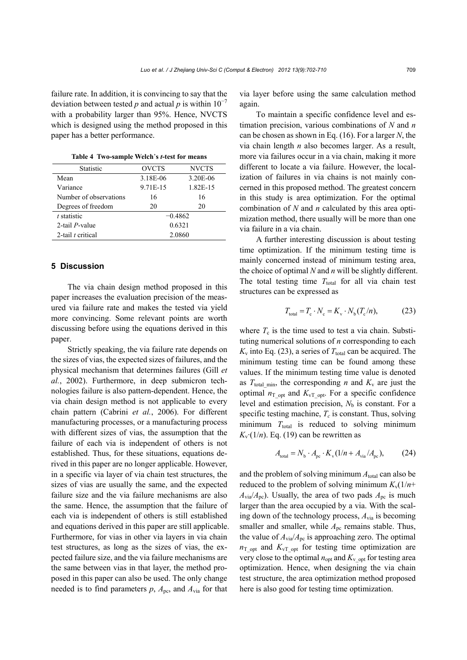failure rate. In addition, it is convincing to say that the deviation between tested *p* and actual *p* is within  $10^{-7}$ with a probability larger than 95%. Hence, NVCTS which is designed using the method proposed in this paper has a better performance.

| <b>Statistic</b>       | <b>OVCTS</b> | <b>NVCTS</b> |
|------------------------|--------------|--------------|
| Mean                   | 3.18E-06     | 3.20E-06     |
| Variance               | 9.71E-15     | 1.82E-15     |
| Number of observations | 16           | 16           |
| Degrees of freedom     | 20           | 20           |

*t* statistic −0.4862 2-tail *P*-value 0.6321 2-tail *t* critical 2.0860

**Table 4 Two-sample Welch**'**s** *t***-test for means**

#### **5 Discussion**

The via chain design method proposed in this paper increases the evaluation precision of the measured via failure rate and makes the tested via yield more convincing. Some relevant points are worth discussing before using the equations derived in this paper.

Strictly speaking, the via failure rate depends on the sizes of vias, the expected sizes of failures, and the physical mechanism that determines failures (Gill *et al.*, 2002). Furthermore, in deep submicron technologies failure is also pattern-dependent. Hence, the via chain design method is not applicable to every chain pattern (Cabrini *et al.*, 2006). For different manufacturing processes, or a manufacturing process with different sizes of vias, the assumption that the failure of each via is independent of others is not established. Thus, for these situations, equations derived in this paper are no longer applicable. However, in a specific via layer of via chain test structures, the sizes of vias are usually the same, and the expected failure size and the via failure mechanisms are also the same. Hence, the assumption that the failure of each via is independent of others is still established and equations derived in this paper are still applicable. Furthermore, for vias in other via layers in via chain test structures, as long as the sizes of vias, the expected failure size, and the via failure mechanisms are the same between vias in that layer, the method proposed in this paper can also be used. The only change needed is to find parameters  $p$ ,  $A_{\text{pc}}$ , and  $A_{\text{via}}$  for that

via layer before using the same calculation method again.

To maintain a specific confidence level and estimation precision, various combinations of *N* and *n* can be chosen as shown in Eq. (16). For a larger *N*, the via chain length *n* also becomes larger. As a result, more via failures occur in a via chain, making it more different to locate a via failure. However, the localization of failures in via chains is not mainly concerned in this proposed method. The greatest concern in this study is area optimization. For the optimal combination of *N* and *n* calculated by this area optimization method, there usually will be more than one via failure in a via chain.

A further interesting discussion is about testing time optimization. If the minimum testing time is mainly concerned instead of minimum testing area, the choice of optimal *N* and *n* will be slightly different. The total testing time  $T<sub>total</sub>$  for all via chain test structures can be expressed as

$$
T_{\text{total}} = T_{\text{c}} \cdot N_{\text{c}} = K_{\text{v}} \cdot N_{\text{b}}(T_{\text{c}}/n), \tag{23}
$$

where  $T_c$  is the time used to test a via chain. Substituting numerical solutions of *n* corresponding to each  $K_v$  into Eq. (23), a series of  $T_{total}$  can be acquired. The minimum testing time can be found among these values. If the minimum testing time value is denoted as  $T_{total,min}$ , the corresponding *n* and  $K_v$  are just the optimal  $n_T$ <sub>opt</sub> and  $K_{\rm vT}$ <sub>opt</sub>. For a specific confidence level and estimation precision,  $N<sub>b</sub>$  is constant. For a specific testing machine,  $T_c$  is constant. Thus, solving minimum  $T_{total}$  is reduced to solving minimum  $K_v(1/n)$ . Eq. (19) can be rewritten as

$$
A_{\text{total}} = N_{\text{b}} \cdot A_{\text{pc}} \cdot K_{\text{v}} (1/n + A_{\text{via}} / A_{\text{pc}}), \tag{24}
$$

and the problem of solving minimum  $A_{total}$  can also be reduced to the problem of solving minimum  $K_v(1/n+$  $A_{\text{via}}/A_{\text{pc}}$ ). Usually, the area of two pads  $A_{\text{pc}}$  is much larger than the area occupied by a via. With the scaling down of the technology process, *A*via is becoming smaller and smaller, while  $A_{pc}$  remains stable. Thus, the value of  $A_{\text{via}}/A_{\text{pc}}$  is approaching zero. The optimal  $n_{\text{T}}$ <sub>opt</sub> and  $K_{\text{vT}}$ <sub>opt</sub> for testing time optimization are very close to the optimal  $n_{opt}$  and  $K_{v}$  <sub>opt</sub> for testing area optimization. Hence, when designing the via chain test structure, the area optimization method proposed here is also good for testing time optimization.